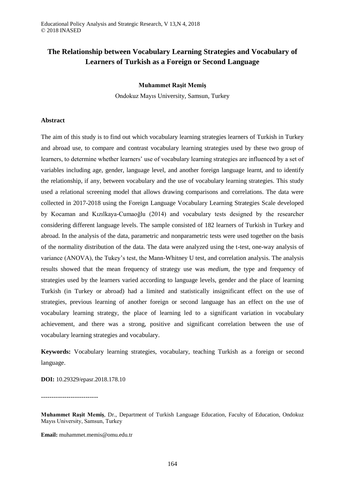# **The Relationship between Vocabulary Learning Strategies and Vocabulary of Learners of Turkish as a Foreign or Second Language**

## **Muhammet Raşit Memiş**

Ondokuz Mayıs University, Samsun, Turkey

## **Abstract**

The aim of this study is to find out which vocabulary learning strategies learners of Turkish in Turkey and abroad use, to compare and contrast vocabulary learning strategies used by these two group of learners, to determine whether learners' use of vocabulary learning strategies are influenced by a set of variables including age, gender, language level, and another foreign language learnt, and to identify the relationship, if any, between vocabulary and the use of vocabulary learning strategies. This study used a relational screening model that allows drawing comparisons and correlations. The data were collected in 2017-2018 using the Foreign Language Vocabulary Learning Strategies Scale developed by Kocaman and Kızılkaya-Cumaoğlu (2014) and vocabulary tests designed by the researcher considering different language levels. The sample consisted of 182 learners of Turkish in Turkey and abroad. In the analysis of the data, parametric and nonparametric tests were used together on the basis of the normality distribution of the data. The data were analyzed using the t-test, one-way analysis of variance (ANOVA), the Tukey's test, the Mann-Whitney U test, and correlation analysis. The analysis results showed that the mean frequency of strategy use was *medium*, the type and frequency of strategies used by the learners varied according to language levels, gender and the place of learning Turkish (in Turkey or abroad) had a limited and statistically insignificant effect on the use of strategies, previous learning of another foreign or second language has an effect on the use of vocabulary learning strategy, the place of learning led to a significant variation in vocabulary achievement, and there was a strong, positive and significant correlation between the use of vocabulary learning strategies and vocabulary.

**Keywords:** Vocabulary learning strategies, vocabulary, teaching Turkish as a foreign or second language.

**DOI:** 10.29329/epasr.2018.178.10

---------------------------

**Email:** muhammet.memis@omu.edu.tr

**Muhammet Raşit Memiş**, Dr., Department of Turkish Language Education, Faculty of Education, Ondokuz Mayıs University, Samsun, Turkey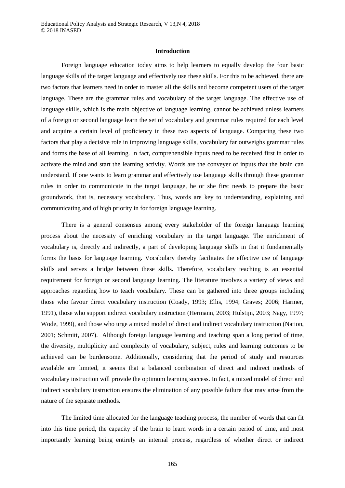### **Introduction**

Foreign language education today aims to help learners to equally develop the four basic language skills of the target language and effectively use these skills. For this to be achieved, there are two factors that learners need in order to master all the skills and become competent users of the target language. These are the grammar rules and vocabulary of the target language. The effective use of language skills, which is the main objective of language learning, cannot be achieved unless learners of a foreign or second language learn the set of vocabulary and grammar rules required for each level and acquire a certain level of proficiency in these two aspects of language. Comparing these two factors that play a decisive role in improving language skills, vocabulary far outweighs grammar rules and forms the base of all learning. In fact, comprehensible inputs need to be received first in order to activate the mind and start the learning activity. Words are the conveyer of inputs that the brain can understand. If one wants to learn grammar and effectively use language skills through these grammar rules in order to communicate in the target language, he or she first needs to prepare the basic groundwork, that is, necessary vocabulary. Thus, words are key to understanding, explaining and communicating and of high priority in for foreign language learning.

There is a general consensus among every stakeholder of the foreign language learning process about the necessity of enriching vocabulary in the target language. The enrichment of vocabulary is, directly and indirectly, a part of developing language skills in that it fundamentally forms the basis for language learning. Vocabulary thereby facilitates the effective use of language skills and serves a bridge between these skills. Therefore, vocabulary teaching is an essential requirement for foreign or second language learning. The literature involves a variety of views and approaches regarding how to teach vocabulary. These can be gathered into three groups including those who favour direct vocabulary instruction (Coady, 1993; Ellis, 1994; Graves; 2006; Harmer, 1991), those who support indirect vocabulary instruction (Hermann, 2003; Hulstijn, 2003; Nagy, 1997; Wode, 1999), and those who urge a mixed model of direct and indirect vocabulary instruction (Nation, 2001; Schmitt, 2007). Although foreign language learning and teaching span a long period of time, the diversity, multiplicity and complexity of vocabulary, subject, rules and learning outcomes to be achieved can be burdensome. Additionally, considering that the period of study and resources available are limited, it seems that a balanced combination of direct and indirect methods of vocabulary instruction will provide the optimum learning success. In fact, a mixed model of direct and indirect vocabulary instruction ensures the elimination of any possible failure that may arise from the nature of the separate methods.

The limited time allocated for the language teaching process, the number of words that can fit into this time period, the capacity of the brain to learn words in a certain period of time, and most importantly learning being entirely an internal process, regardless of whether direct or indirect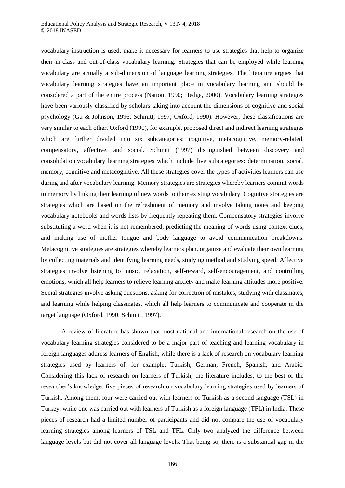vocabulary instruction is used, make it necessary for learners to use strategies that help to organize their in-class and out-of-class vocabulary learning. Strategies that can be employed while learning vocabulary are actually a sub-dimension of language learning strategies. The literature argues that vocabulary learning strategies have an important place in vocabulary learning and should be considered a part of the entire process (Nation, 1990; Hedge, 2000). Vocabulary learning strategies have been variously classified by scholars taking into account the dimensions of cognitive and social psychology (Gu & Johnson, 1996; Schmitt, 1997; Oxford, 1990). However, these classifications are very similar to each other. Oxford (1990), for example, proposed direct and indirect learning strategies which are further divided into six subcategories: cognitive, metacognitive, memory-related, compensatory, affective, and social. Schmitt (1997) distinguished between discovery and consolidation vocabulary learning strategies which include five subcategories: determination, social, memory, cognitive and metacognitive. All these strategies cover the types of activities learners can use during and after vocabulary learning. Memory strategies are strategies whereby learners commit words to memory by linking their learning of new words to their existing vocabulary. Cognitive strategies are strategies which are based on the refreshment of memory and involve taking notes and keeping vocabulary notebooks and words lists by frequently repeating them. Compensatory strategies involve substituting a word when it is not remembered, predicting the meaning of words using context clues, and making use of mother tongue and body language to avoid communication breakdowns. Metacognitive strategies are strategies whereby learners plan, organize and evaluate their own learning by collecting materials and identifying learning needs, studying method and studying speed. Affective strategies involve listening to music, relaxation, self-reward, self-encouragement, and controlling emotions, which all help learners to relieve learning anxiety and make learning attitudes more positive. Social strategies involve asking questions, asking for correction of mistakes, studying with classmates, and learning while helping classmates, which all help learners to communicate and cooperate in the target language (Oxford, 1990; Schmitt, 1997).

A review of literature has shown that most national and international research on the use of vocabulary learning strategies considered to be a major part of teaching and learning vocabulary in foreign languages address learners of English, while there is a lack of research on vocabulary learning strategies used by learners of, for example, Turkish, German, French, Spanish, and Arabic. Considering this lack of research on learners of Turkish, the literature includes, to the best of the researcher's knowledge, five pieces of research on vocabulary learning strategies used by learners of Turkish. Among them, four were carried out with learners of Turkish as a second language (TSL) in Turkey, while one was carried out with learners of Turkish as a foreign language (TFL) in India. These pieces of research had a limited number of participants and did not compare the use of vocabulary learning strategies among learners of TSL and TFL. Only two analyzed the difference between language levels but did not cover all language levels. That being so, there is a substantial gap in the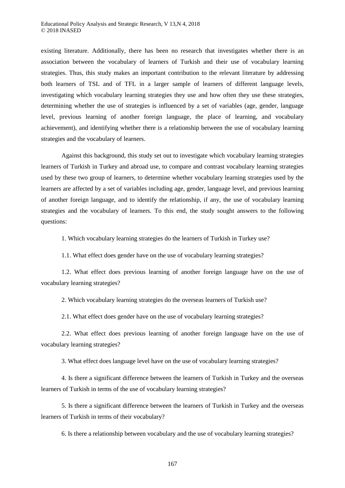existing literature. Additionally, there has been no research that investigates whether there is an association between the vocabulary of learners of Turkish and their use of vocabulary learning strategies. Thus, this study makes an important contribution to the relevant literature by addressing both learners of TSL and of TFL in a larger sample of learners of different language levels, investigating which vocabulary learning strategies they use and how often they use these strategies, determining whether the use of strategies is influenced by a set of variables (age, gender, language level, previous learning of another foreign language, the place of learning, and vocabulary achievement), and identifying whether there is a relationship between the use of vocabulary learning strategies and the vocabulary of learners.

Against this background, this study set out to investigate which vocabulary learning strategies learners of Turkish in Turkey and abroad use, to compare and contrast vocabulary learning strategies used by these two group of learners, to determine whether vocabulary learning strategies used by the learners are affected by a set of variables including age, gender, language level, and previous learning of another foreign language, and to identify the relationship, if any, the use of vocabulary learning strategies and the vocabulary of learners. To this end, the study sought answers to the following questions:

1. Which vocabulary learning strategies do the learners of Turkish in Turkey use?

1.1. What effect does gender have on the use of vocabulary learning strategies?

1.2. What effect does previous learning of another foreign language have on the use of vocabulary learning strategies?

2. Which vocabulary learning strategies do the overseas learners of Turkish use?

2.1. What effect does gender have on the use of vocabulary learning strategies?

2.2. What effect does previous learning of another foreign language have on the use of vocabulary learning strategies?

3. What effect does language level have on the use of vocabulary learning strategies?

4. Is there a significant difference between the learners of Turkish in Turkey and the overseas learners of Turkish in terms of the use of vocabulary learning strategies?

5. Is there a significant difference between the learners of Turkish in Turkey and the overseas learners of Turkish in terms of their vocabulary?

6. Is there a relationship between vocabulary and the use of vocabulary learning strategies?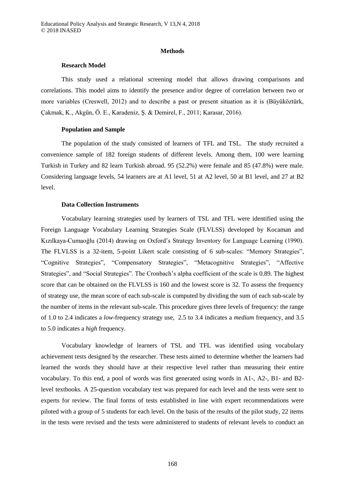#### **Methods**

#### **Research Model**

This study used a relational screening model that allows drawing comparisons and correlations. This model aims to identify the presence and/or degree of correlation between two or more variables (Creswell, 2012) and to describe a past or present situation as it is (Büyüköztürk, Çakmak, K., Akgün, Ö. E., Karadeniz, Ş. & Demirel, F., 2011; Karasar, 2016).

### **Population and Sample**

The population of the study consisted of learners of TFL and TSL. The study recruited a convenience sample of 182 foreign students of different levels. Among them, 100 were learning Turkish in Turkey and 82 learn Turkish abroad. 95 (52.2%) were female and 85 (47.8%) were male. Considering language levels, 54 learners are at A1 level, 51 at A2 level, 50 at B1 level, and 27 at B2 level.

## **Data Collection Instruments**

Vocabulary learning strategies used by learners of TSL and TFL were identified using the Foreign Language Vocabulary Learning Strategies Scale (FLVLSS) developed by Kocaman and Kızılkaya-Cumaoğlu (2014) drawing on Oxford's Strategy Inventory for Language Learning (1990). The FLVLSS is a 32-item, 5-point Likert scale consisting of 6 sub-scales: "Memory Strategies", "Cognitive Strategies", "Compensatory Strategies", "Metacognitive Strategies", "Affective Strategies", and "Social Strategies". The Cronbach's alpha coefficient of the scale is 0.89. The highest score that can be obtained on the FLVLSS is 160 and the lowest score is 32. To assess the frequency of strategy use, the mean score of each sub-scale is computed by dividing the sum of each sub-scale by the number of items in the relevant sub-scale. This procedure gives three levels of frequency: the range of 1.0 to 2.4 indicates a *low*-frequency strategy use, 2.5 to 3.4 indicates a *medium* frequency, and 3.5 to 5.0 indicates a *high* frequency.

Vocabulary knowledge of learners of TSL and TFL was identified using vocabulary achievement tests designed by the researcher. These tests aimed to determine whether the learners had learned the words they should have at their respective level rather than measuring their entire vocabulary. To this end, a pool of words was first generated using words in A1-, A2-, B1- and B2 level textbooks. A 25-question vocabulary test was prepared for each level and the tests were sent to experts for review. The final forms of tests established in line with expert recommendations were piloted with a group of 5 students for each level. On the basis of the results of the pilot study, 22 items in the tests were revised and the tests were administered to students of relevant levels to conduct an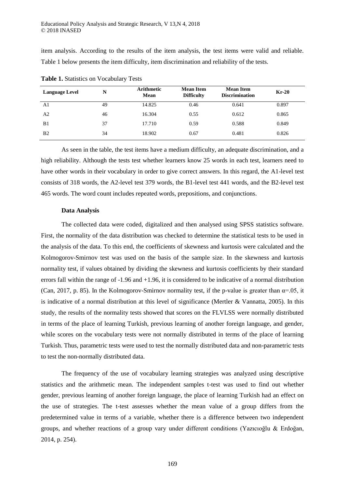item analysis. According to the results of the item analysis, the test items were valid and reliable. Table 1 below presents the item difficulty, item discrimination and reliability of the tests.

| <b>Language Level</b> | N  | <b>Arithmetic</b><br><b>Mean</b> | <b>Mean Item</b><br><b>Difficulty</b> | <b>Mean Item</b><br><b>Discrimination</b> | $Kr-20$ |
|-----------------------|----|----------------------------------|---------------------------------------|-------------------------------------------|---------|
| A1                    | 49 | 14.825                           | 0.46                                  | 0.641                                     | 0.897   |
| A2                    | 46 | 16.304                           | 0.55                                  | 0.612                                     | 0.865   |
| B <sub>1</sub>        | 37 | 17.710                           | 0.59                                  | 0.588                                     | 0.849   |
| B <sub>2</sub>        | 34 | 18.902                           | 0.67                                  | 0.481                                     | 0.826   |

**Table 1.** Statistics on Vocabulary Tests

As seen in the table, the test items have a medium difficulty, an adequate discrimination, and a high reliability. Although the tests test whether learners know 25 words in each test, learners need to have other words in their vocabulary in order to give correct answers. In this regard, the A1-level test consists of 318 words, the A2-level test 379 words, the B1-level test 441 words, and the B2-level test 465 words. The word count includes repeated words, prepositions, and conjunctions.

## **Data Analysis**

The collected data were coded, digitalized and then analysed using SPSS statistics software. First, the normality of the data distribution was checked to determine the statistical tests to be used in the analysis of the data. To this end, the coefficients of skewness and kurtosis were calculated and the Kolmogorov-Smirnov test was used on the basis of the sample size. In the skewness and kurtosis normality test, if values obtained by dividing the skewness and kurtosis coefficients by their standard errors fall within the range of -1.96 and +1.96, it is considered to be indicative of a normal distribution (Can, 2017, p. 85). In the Kolmogorov-Smirnov normality test, if the p-value is greater than  $\alpha$ =.05, it is indicative of a normal distribution at this level of significance (Mertler  $&$  Vannatta, 2005). In this study, the results of the normality tests showed that scores on the FLVLSS were normally distributed in terms of the place of learning Turkish, previous learning of another foreign language, and gender, while scores on the vocabulary tests were not normally distributed in terms of the place of learning Turkish. Thus, parametric tests were used to test the normally distributed data and non-parametric tests to test the non-normally distributed data.

The frequency of the use of vocabulary learning strategies was analyzed using descriptive statistics and the arithmetic mean. The independent samples t-test was used to find out whether gender, previous learning of another foreign language, the place of learning Turkish had an effect on the use of strategies. The t-test assesses whether the mean value of a group differs from the predetermined value in terms of a variable, whether there is a difference between two independent groups, and whether reactions of a group vary under different conditions (Yazıcıoğlu & Erdoğan, 2014, p. 254).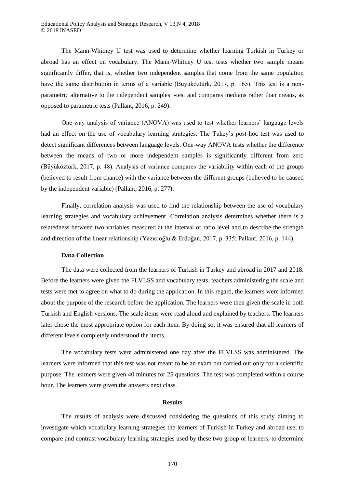The Mann-Whitney U test was used to determine whether learning Turkish in Turkey or abroad has an effect on vocabulary. The Mann-Whitney U test tests whether two sample means significantly differ, that is, whether two independent samples that come from the same population have the same distribution in terms of a variable (Büyüköztürk, 2017, p. 165). This test is a nonparametric alternative to the independent samples t-test and compares medians rather than means, as opposed to parametric tests (Pallant, 2016, p. 249).

One-way analysis of variance (ANOVA) was used to test whether learners' language levels had an effect on the use of vocabulary learning strategies. The Tukey's post-hoc test was used to detect significant differences between language levels. One-way ANOVA tests whether the difference between the means of two or more independent samples is significantly different from zero (Büyüköztürk, 2017, p. 48). Analysis of variance compares the variability within each of the groups (believed to result from chance) with the variance between the different groups (believed to be caused by the independent variable) (Pallant, 2016, p. 277).

Finally, correlation analysis was used to find the relationship between the use of vocabulary learning strategies and vocabulary achievement. Correlation analysis determines whether there is a relatedness between two variables measured at the interval or ratio level and to describe the strength and direction of the linear relationship (Yazıcıoğlu & Erdoğan, 2017, p. 335; Pallant, 2016, p. 144).

#### **Data Collection**

The data were collected from the learners of Turkish in Turkey and abroad in 2017 and 2018. Before the learners were given the FLVLSS and vocabulary tests, teachers administering the scale and tests were met to agree on what to do during the application. In this regard, the learners were informed about the purpose of the research before the application. The learners were then given the scale in both Turkish and English versions. The scale items were read aloud and explained by teachers. The learners later chose the most appropriate option for each item. By doing so, it was ensured that all learners of different levels completely understood the items.

The vocabulary tests were administered one day after the FLVLSS was administered. The learners were informed that this test was not meant to be an exam but carried out only for a scientific purpose. The learners were given 40 minutes for 25 questions. The test was completed within a course hour. The learners were given the answers next class.

#### **Results**

The results of analysis were discussed considering the questions of this study aiming to investigate which vocabulary learning strategies the learners of Turkish in Turkey and abroad use, to compare and contrast vocabulary learning strategies used by these two group of learners, to determine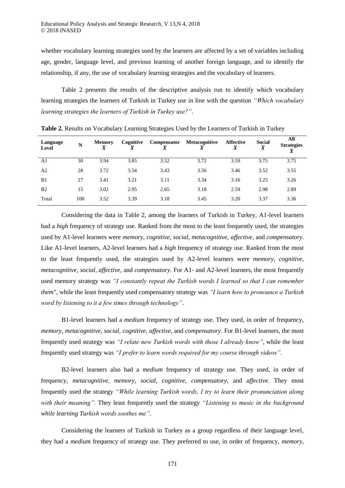whether vocabulary learning strategies used by the learners are affected by a set of variables including age, gender, language level, and previous learning of another foreign language, and to identify the relationship, if any, the use of vocabulary learning strategies and the vocabulary of learners.

Table 2 presents the results of the descriptive analysis run to identify which vocabulary learning strategies the learners of Turkish in Turkey use in line with the question *"Which vocabulary learning strategies the learners of Turkish in Turkey use?"*.

| Language<br>Level | N   | <b>Memory</b><br>v | Cognitive | Compensator | <b>Metacognitive</b><br>v | <b>Affective</b><br>$\bar{x}$ | <b>Social</b><br>$\overline{X}$ | All<br><b>Strategies</b> |
|-------------------|-----|--------------------|-----------|-------------|---------------------------|-------------------------------|---------------------------------|--------------------------|
| A1                | 30  | 3.94               | 3.85      | 3.52        | 3.72                      | 3.59                          | 3.75                            | 3.75                     |
| A <sub>2</sub>    | 28  | 3.72               | 3.54      | 3.43        | 3.56                      | 3.46                          | 3.52                            | 3.55                     |
| B1                | 27  | 3.41               | 3.21      | 3.11        | 3.34                      | 3.16                          | 3.25                            | 3.26                     |
| B <sub>2</sub>    | 15  | 3.02               | 2.95      | 2.65        | 3.18                      | 2.59                          | 2.98                            | 2.89                     |
| Total             | 100 | 3.52               | 3.39      | 3.18        | 3.45                      | 3.20                          | 3.37                            | 3.36                     |

**Table 2.** Results on Vocabulary Learning Strategies Used by the Learners of Turkish in Turkey

Considering the data in Table 2, among the learners of Turkish in Turkey, A1-level learners had a *high* frequency of strategy use. Ranked from the most to the least frequently used, the strategies used by A1-level learners were *memory, cognitive, social, metacognitive*, *affective,* and *compensatory*. Like A1-level learners, A2-level learners had a *high* frequency of strategy use. Ranked from the most to the least frequently used, the strategies used by A2-level learners were *memory, cognitive, metacognitive, social, affective,* and *compensatory.* For A1- and A2-level learners, the most frequently used memory strategy was *"I constantly repeat the Turkish words I learned so that I can remember them"*, while the least frequently used compensatory strategy was *"I learn how to pronounce a Turkish word by listening to it a few times through technology"*.

B1-level learners had a *medium* frequency of strategy use. They used, in order of frequency, *memory, metacognitive, social, cognitive, affective,* and *compensatory*. For B1-level learners, the most frequently used strategy was *"I relate new Turkish words with those I already know"*, while the least frequently used strategy was *"I prefer to learn words required for my course through videos"*.

B2-level learners also had a *medium* frequency of strategy use. They used, in order of frequency, *metacognitive, memory, social, cognitive, compensatory,* and *affective*. They most frequently used the strategy *"While learning Turkish words, I try to learn their pronunciation along with their meaning".* They least frequently used the strategy *"Listening to music in the background while learning Turkish words soothes me"*.

Considering the learners of Turkish in Turkey as a group regardless of their language level, they had a *medium* frequency of strategy use. They preferred to use, in order of frequency, *memory,*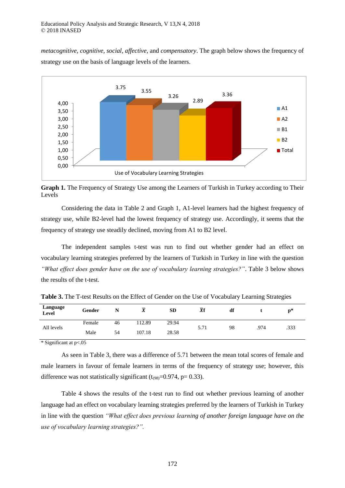*metacognitive, cognitive, social, affective,* and *compensatory*. The graph below shows the frequency of strategy use on the basis of language levels of the learners.



**Graph 1.** The Frequency of Strategy Use among the Learners of Turkish in Turkey according to Their Levels

Considering the data in Table 2 and Graph 1, A1-level learners had the highest frequency of strategy use, while B2-level had the lowest frequency of strategy use. Accordingly, it seems that the frequency of strategy use steadily declined, moving from A1 to B2 level.

The independent samples t-test was run to find out whether gender had an effect on vocabulary learning strategies preferred by the learners of Turkish in Turkey in line with the question *"What effect does gender have on the use of vocabulary learning strategies?"*. Table 3 below shows the results of the t-test.

| Language<br>Level | Gender | N  | ᠊ᢦ<br>41 | <b>SD</b> | $\overline{X}f$ | df |      | $\mathbf{p}^*$ |
|-------------------|--------|----|----------|-----------|-----------------|----|------|----------------|
|                   | Female | 46 | 112.89   | 29.94     |                 |    |      |                |
| All levels        | Male   | 54 | 107.18   | 28.58     | 5.71            | 98 | .974 | .333           |
| .                 | $-$    |    |          |           |                 |    |      |                |

**Table 3.** The T-test Results on the Effect of Gender on the Use of Vocabulary Learning Strategies

\* Significant at p<.05

As seen in Table 3, there was a difference of 5.71 between the mean total scores of female and male learners in favour of female learners in terms of the frequency of strategy use; however, this difference was not statistically significant  $(t_{(98)}=0.974, p= 0.33)$ .

Table 4 shows the results of the t-test run to find out whether previous learning of another language had an effect on vocabulary learning strategies preferred by the learners of Turkish in Turkey in line with the question *"What effect does previous learning of another foreign language have on the use of vocabulary learning strategies?".*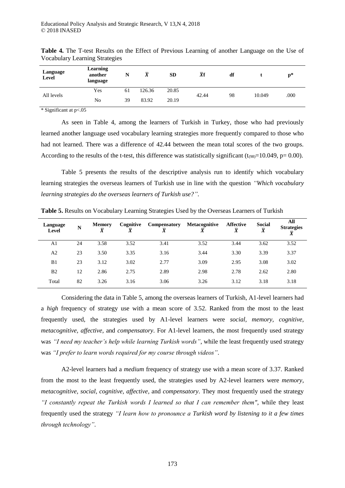| Language<br><b>Level</b> | <b>Learning</b><br>another<br>language | N  | $\bar{X}$ | <b>SD</b> | $\overline{X}f$ | df |        | $\mathbf{p}^*$ |
|--------------------------|----------------------------------------|----|-----------|-----------|-----------------|----|--------|----------------|
|                          | Yes                                    | 61 | 126.36    | 20.85     |                 |    |        |                |
| All levels               | No                                     | 39 | 83.92     | 20.19     | 42.44           | 98 | 10.049 | .000           |

**Table 4.** The T-test Results on the Effect of Previous Learning of another Language on the Use of Vocabulary Learning Strategies

\* Significant at p<.05

As seen in Table 4, among the learners of Turkish in Turkey, those who had previously learned another language used vocabulary learning strategies more frequently compared to those who had not learned. There was a difference of 42.44 between the mean total scores of the two groups. According to the results of the t-test, this difference was statistically significant ( $t_{(98)}$ =10.049, p= 0.00).

Table 5 presents the results of the descriptive analysis run to identify which vocabulary learning strategies the overseas learners of Turkish use in line with the question *"Which vocabulary learning strategies do the overseas learners of Turkish use?"*.

| Language<br>Level | N  | Memory<br>$\overline{\mathbf{v}}$ | Cognitive | <b>Compensatory</b><br>$\overline{\mathbf{v}}$ | <b>Metacognitive</b> | <b>Affective</b><br>$\overline{X}$ | <b>Social</b><br>$\overline{\mathbf{v}}$<br>л | All<br><b>Strategies</b><br>$\overline{X}$ |
|-------------------|----|-----------------------------------|-----------|------------------------------------------------|----------------------|------------------------------------|-----------------------------------------------|--------------------------------------------|
| A1                | 24 | 3.58                              | 3.52      | 3.41                                           | 3.52                 | 3.44                               | 3.62                                          | 3.52                                       |
| A <sub>2</sub>    | 23 | 3.50                              | 3.35      | 3.16                                           | 3.44                 | 3.30                               | 3.39                                          | 3.37                                       |
| B1                | 23 | 3.12                              | 3.02      | 2.77                                           | 3.09                 | 2.95                               | 3.08                                          | 3.02                                       |
| B <sub>2</sub>    | 12 | 2.86                              | 2.75      | 2.89                                           | 2.98                 | 2.78                               | 2.62                                          | 2.80                                       |
| Total             | 82 | 3.26                              | 3.16      | 3.06                                           | 3.26                 | 3.12                               | 3.18                                          | 3.18                                       |

**Table 5.** Results on Vocabulary Learning Strategies Used by the Overseas Learners of Turkish

Considering the data in Table 5, among the overseas learners of Turkish, A1-level learners had a *high* frequency of strategy use with a mean score of 3.52. Ranked from the most to the least frequently used, the strategies used by A1-level learners were *social, memory, cognitive, metacognitive, affective,* and *compensatory*. For A1-level learners, the most frequently used strategy was *"I need my teacher's help while learning Turkish words"*, while the least frequently used strategy was *"I prefer to learn words required for my course through videos"*.

A2-level learners had a *medium* frequency of strategy use with a mean score of 3.37. Ranked from the most to the least frequently used, the strategies used by A2-level learners were *memory, metacognitive, social, cognitive, affective,* and *compensatory*. They most frequently used the strategy *"I constantly repeat the Turkish words I learned so that I can remember them"*, while they least frequently used the strategy *"I learn how to pronounce a Turkish word by listening to it a few times through technology"*.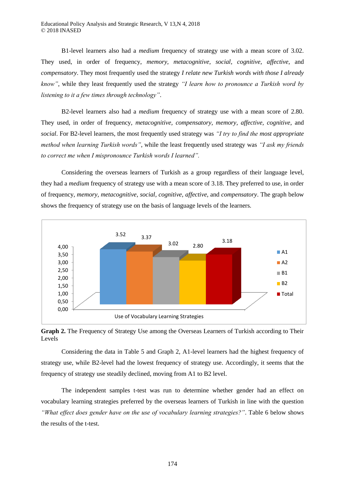B1-level learners also had a *medium* frequency of strategy use with a mean score of 3.02. They used, in order of frequency, *memory, metacognitive, social, cognitive, affective*, and *compensatory*. They most frequently used the strategy *I relate new Turkish words with those I already know"*, while they least frequently used the strategy *"I learn how to pronounce a Turkish word by listening to it a few times through technology"*.

B2-level learners also had a *medium* frequency of strategy use with a mean score of 2.80. They used, in order of frequency, *metacognitive, compensatory, memory, affective, cognitive*, and *social*. For B2-level learners, the most frequently used strategy was *"I try to find the most appropriate method when learning Turkish words"*, while the least frequently used strategy was *"I ask my friends to correct me when I mispronounce Turkish words I learned".*

Considering the overseas learners of Turkish as a group regardless of their language level, they had a *medium* frequency of strategy use with a mean score of 3.18. They preferred to use, in order of frequency, *memory, metacognitive, social, cognitive, affective,* and *compensatory*. The graph below shows the frequency of strategy use on the basis of language levels of the learners.



**Graph 2.** The Frequency of Strategy Use among the Overseas Learners of Turkish according to Their Levels

Considering the data in Table 5 and Graph 2, A1-level learners had the highest frequency of strategy use, while B2-level had the lowest frequency of strategy use. Accordingly, it seems that the frequency of strategy use steadily declined, moving from A1 to B2 level.

The independent samples t-test was run to determine whether gender had an effect on vocabulary learning strategies preferred by the overseas learners of Turkish in line with the question *"What effect does gender have on the use of vocabulary learning strategies?"*. Table 6 below shows the results of the t-test.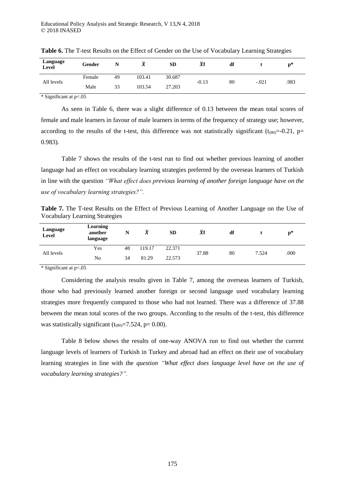| Language<br>Level | Gender | N  | $\overline{\mathbf{v}}$ | SD     | –<br><b>Xf</b> | df |         | p*   |
|-------------------|--------|----|-------------------------|--------|----------------|----|---------|------|
| All levels        | Female | 49 | 103.41                  | 30.687 | $-0.13$        | 80 | $-.021$ | .983 |
|                   | Male   | 33 | 103.54                  | 27.203 |                |    |         |      |

**Table 6.** The T-test Results on the Effect of Gender on the Use of Vocabulary Learning Strategies

\* Significant at p<.05

As seen in Table 6, there was a slight difference of 0.13 between the mean total scores of female and male learners in favour of male learners in terms of the frequency of strategy use; however, according to the results of the t-test, this difference was not statistically significant ( $t_{(80)} = -0.21$ , p= 0.983).

Table 7 shows the results of the t-test run to find out whether previous learning of another language had an effect on vocabulary learning strategies preferred by the overseas learners of Turkish in line with the question *"What effect does previous learning of another foreign language have on the use of vocabulary learning strategies?".*

**Table 7.** The T-test Results on the Effect of Previous Learning of Another Language on the Use of Vocabulary Learning Strategies

| Language<br>Level | <b>Learning</b><br>another<br>language | N  | $\bar{X}$ | <b>SD</b> | $\overline{X}$ f | df |       | $\mathbf{p}^*$ |
|-------------------|----------------------------------------|----|-----------|-----------|------------------|----|-------|----------------|
|                   | Yes                                    | 48 | 119.17    | 22.371    |                  |    |       |                |
| All levels        | No                                     | 34 | 81.29     | 22.573    | 37.88            | 80 | 7.524 | .000           |

\* Significant at p<.05

Considering the analysis results given in Table 7, among the overseas learners of Turkish, those who had previously learned another foreign or second language used vocabulary learning strategies more frequently compared to those who had not learned. There was a difference of 37.88 between the mean total scores of the two groups. According to the results of the t-test, this difference was statistically significant  $(t_{(80)}=7.524, p= 0.00)$ .

Table 8 below shows the results of one-way ANOVA run to find out whether the current language levels of learners of Turkish in Turkey and abroad had an effect on their use of vocabulary learning strategies in line with the *question "What effect does language level have on the use of vocabulary learning strategies?".*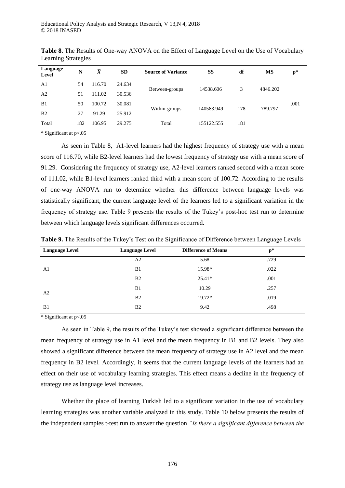| Language<br>Level | N   | $\overline{X}$ | <b>SD</b> | <b>Source of Variance</b> | SS         | df  | МS       | $p*$ |  |
|-------------------|-----|----------------|-----------|---------------------------|------------|-----|----------|------|--|
| A1                | 54  | 116.70         | 24.634    | Between-groups            | 14538.606  | 3   | 4846.202 |      |  |
| A <sub>2</sub>    | 51  | 111.02         | 30.536    |                           |            |     |          |      |  |
| B <sub>1</sub>    | 50  | 100.72         | 30.081    |                           |            |     |          | .001 |  |
| B <sub>2</sub>    | 27  | 91.29          | 25.912    | Within-groups             | 140583.949 | 178 | 789.797  |      |  |
| Total             | 182 | 106.95         | 29.275    | Total                     | 155122.555 | 181 |          |      |  |
| .                 | $-$ |                |           |                           |            |     |          |      |  |

**Table 8.** The Results of One-way ANOVA on the Effect of Language Level on the Use of Vocabulary Learning Strategies

\* Significant at p<.05

As seen in Table 8, A1-level learners had the highest frequency of strategy use with a mean score of 116.70, while B2-level learners had the lowest frequency of strategy use with a mean score of 91.29. Considering the frequency of strategy use, A2-level learners ranked second with a mean score of 111.02, while B1-level learners ranked third with a mean score of 100.72. According to the results of one-way ANOVA run to determine whether this difference between language levels was statistically significant, the current language level of the learners led to a significant variation in the frequency of strategy use. Table 9 presents the results of the Tukey's post-hoc test run to determine between which language levels significant differences occurred.

| <b>Language Level</b> | <b>Language Level</b> | <b>Difference of Means</b> | $\mathbf{p}^*$ |  |
|-----------------------|-----------------------|----------------------------|----------------|--|
|                       | A2                    | 5.68                       | .729           |  |
| A <sub>1</sub>        | B1                    | 15.98*                     | .022           |  |
|                       | B <sub>2</sub>        | $25.41*$                   | .001           |  |
| A <sub>2</sub>        | B <sub>1</sub>        | 10.29                      | .257           |  |
|                       | B <sub>2</sub>        | 19.72*                     | .019           |  |
| B <sub>1</sub>        | B <sub>2</sub>        | 9.42                       | .498           |  |

**Table 9.** The Results of the Tukey's Test on the Significance of Difference between Language Levels

\* Significant at p<.05

As seen in Table 9, the results of the Tukey's test showed a significant difference between the mean frequency of strategy use in A1 level and the mean frequency in B1 and B2 levels. They also showed a significant difference between the mean frequency of strategy use in A2 level and the mean frequency in B2 level. Accordingly, it seems that the current language levels of the learners had an effect on their use of vocabulary learning strategies. This effect means a decline in the frequency of strategy use as language level increases.

Whether the place of learning Turkish led to a significant variation in the use of vocabulary learning strategies was another variable analyzed in this study. Table 10 below presents the results of the independent samples t-test run to answer the question *"Is there a significant difference between the*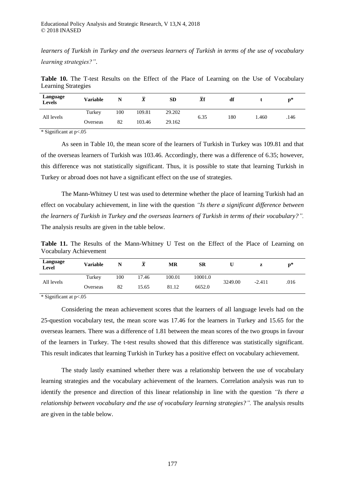*learners of Turkish in Turkey and the overseas learners of Turkish in terms of the use of vocabulary learning strategies?"*.

Table 10. The T-test Results on the Effect of the Place of Learning on the Use of Vocabulary Learning Strategies

| Language<br><b>Levels</b> | Variable | N   | v      | <b>SD</b> | $\overline{X}f$ | df  |       | $\mathbf{p}^*$ |
|---------------------------|----------|-----|--------|-----------|-----------------|-----|-------|----------------|
|                           | Turkey   | 100 | 109.81 | 29.202    |                 |     |       |                |
| All levels                | Overseas | 82  | 103.46 | 29.162    | 6.35            | 180 | 1.460 | .146           |

\* Significant at p<.05

As seen in Table 10, the mean score of the learners of Turkish in Turkey was 109.81 and that of the overseas learners of Turkish was 103.46. Accordingly, there was a difference of 6.35; however, this difference was not statistically significant. Thus, it is possible to state that learning Turkish in Turkey or abroad does not have a significant effect on the use of strategies.

The Mann-Whitney U test was used to determine whether the place of learning Turkish had an effect on vocabulary achievement, in line with the question *"Is there a significant difference between the learners of Turkish in Turkey and the overseas learners of Turkish in terms of their vocabulary?".*  The analysis results are given in the table below.

**Table 11.** The Results of the Mann-Whitney U Test on the Effect of the Place of Learning on Vocabulary Achievement

| Language<br><b>Level</b> | <b>Variable</b> | N   |       | МR     | <b>SR</b> |         | z        | $n^*$ |
|--------------------------|-----------------|-----|-------|--------|-----------|---------|----------|-------|
|                          | Turkey          | 100 | 17.46 | 100.01 | 10001.0   |         |          |       |
| All levels               | Overseas        | 82  | 15.65 | 81.12  | 6652.0    | 3249.00 | $-2.411$ | .016  |

\* Significant at p<.05

Considering the mean achievement scores that the learners of all language levels had on the 25-question vocabulary test, the mean score was 17.46 for the learners in Turkey and 15.65 for the overseas learners. There was a difference of 1.81 between the mean scores of the two groups in favour of the learners in Turkey. The t-test results showed that this difference was statistically significant. This result indicates that learning Turkish in Turkey has a positive effect on vocabulary achievement.

The study lastly examined whether there was a relationship between the use of vocabulary learning strategies and the vocabulary achievement of the learners. Correlation analysis was run to identify the presence and direction of this linear relationship in line with the question *"Is there a relationship between vocabulary and the use of vocabulary learning strategies?".* The analysis results are given in the table below.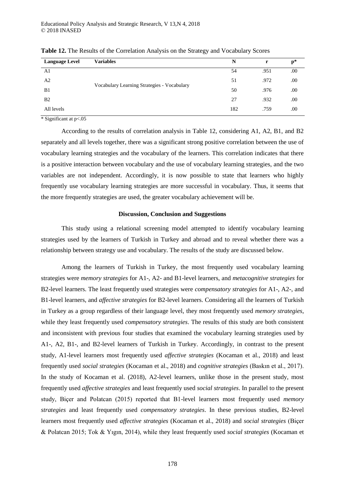| <b>Language Level</b> | <b>Variables</b>                            | N   | r    | $p*$ |
|-----------------------|---------------------------------------------|-----|------|------|
| A <sub>1</sub>        |                                             | 54  | .951 | .00. |
| A2                    |                                             | 51  | .972 | .00. |
| B1                    | Vocabulary Learning Strategies - Vocabulary | 50  | .976 | .00. |
| B <sub>2</sub>        |                                             | 27  | .932 | .00. |
| All levels            |                                             | 182 | .759 | .00  |

**Table 12.** The Results of the Correlation Analysis on the Strategy and Vocabulary Scores

 $\overline{\text{``Significant at p} < 0.05}$ 

According to the results of correlation analysis in Table 12, considering A1, A2, B1, and B2 separately and all levels together, there was a significant strong positive correlation between the use of vocabulary learning strategies and the vocabulary of the learners. This correlation indicates that there is a positive interaction between vocabulary and the use of vocabulary learning strategies, and the two variables are not independent. Accordingly, it is now possible to state that learners who highly frequently use vocabulary learning strategies are more successful in vocabulary. Thus, it seems that the more frequently strategies are used, the greater vocabulary achievement will be.

## **Discussion, Conclusion and Suggestions**

This study using a relational screening model attempted to identify vocabulary learning strategies used by the learners of Turkish in Turkey and abroad and to reveal whether there was a relationship between strategy use and vocabulary. The results of the study are discussed below.

Among the learners of Turkish in Turkey, the most frequently used vocabulary learning strategies were *memory strategies* for A1-, A2- and B1-level learners, and *metacognitive strategies* for B2-level learners. The least frequently used strategies were *compensatory strategies* for A1-, A2-, and B1-level learners, and *affective strategies* for B2-level learners. Considering all the learners of Turkish in Turkey as a group regardless of their language level, they most frequently used *memory strategies*, while they least frequently used *compensatory strategies*. The results of this study are both consistent and inconsistent with previous four studies that examined the vocabulary learning strategies used by A1-, A2, B1-, and B2-level learners of Turkish in Turkey. Accordingly, in contrast to the present study, A1-level learners most frequently used *affective strategies* (Kocaman et al., 2018) and least frequently used *social strategies* (Kocaman et al., 2018) and *cognitive strategies* (Baskın et al., 2017). In the study of Kocaman et al. (2018), A2-level learners, unlike those in the present study, most frequently used *affective strategies* and least frequently used *social strategies*. In parallel to the present study, Biçer and Polatcan (2015) reported that B1-level learners most frequently used *memory strategies* and least frequently used *compensatory strategies*. In these previous studies, B2-level learners most frequently used *affective strategies* (Kocaman et al., 2018) and *social strategies* (Biçer & Polatcan 2015; Tok & Yıgın, 2014), while they least frequently used *social strategies* (Kocaman et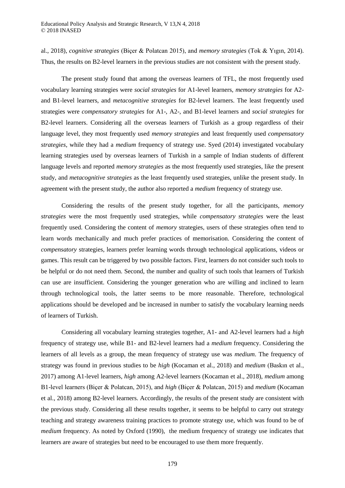al., 2018), *cognitive strategies* (Biçer & Polatcan 2015), and *memory strategies* (Tok & Yıgın, 2014). Thus, the results on B2-level learners in the previous studies are not consistent with the present study.

The present study found that among the overseas learners of TFL, the most frequently used vocabulary learning strategies were *social strategies* for A1-level learners, *memory strategies* for A2 and B1-level learners, and *metacognitive strategies* for B2-level learners. The least frequently used strategies were *compensatory strategies* for A1-, A2-, and B1-level learners and *social strategies* for B2-level learners. Considering all the overseas learners of Turkish as a group regardless of their language level, they most frequently used *memory strategies* and least frequently used *compensatory strategies*, while they had a *medium* frequency of strategy use. Syed (2014) investigated vocabulary learning strategies used by overseas learners of Turkish in a sample of Indian students of different language levels and reported *memory strategies* as the most frequently used strategies, like the present study, and *metacognitive strategies* as the least frequently used strategies, unlike the present study. In agreement with the present study, the author also reported a *medium* frequency of strategy use.

Considering the results of the present study together, for all the participants, *memory strategies* were the most frequently used strategies, while *compensatory strategies* were the least frequently used. Considering the content of *memory* strategies, users of these strategies often tend to learn words mechanically and much prefer practices of memorisation. Considering the content of *compensatory* strategies, learners prefer learning words through technological applications, videos or games. This result can be triggered by two possible factors. First, learners do not consider such tools to be helpful or do not need them. Second, the number and quality of such tools that learners of Turkish can use are insufficient. Considering the younger generation who are willing and inclined to learn through technological tools, the latter seems to be more reasonable. Therefore, technological applications should be developed and be increased in number to satisfy the vocabulary learning needs of learners of Turkish.

Considering all vocabulary learning strategies together, A1- and A2-level learners had a *high* frequency of strategy use, while B1- and B2-level learners had a *medium* frequency. Considering the learners of all levels as a group, the mean frequency of strategy use was *medium*. The frequency of strategy was found in previous studies to be *high* (Kocaman et al., 2018) and *medium* (Baskın et al., 2017) among A1-level learners, *high* among A2-level learners (Kocaman et al., 2018), *medium* among B1-level learners (Biçer & Polatcan, 2015), and *high* (Biçer & Polatcan, 2015) and *medium* (Kocaman et al., 2018) among B2-level learners. Accordingly, the results of the present study are consistent with the previous study. Considering all these results together, it seems to be helpful to carry out strategy teaching and strategy awareness training practices to promote strategy use, which was found to be of *medium* frequency. As noted by Oxford (1990), the medium frequency of strategy use indicates that learners are aware of strategies but need to be encouraged to use them more frequently.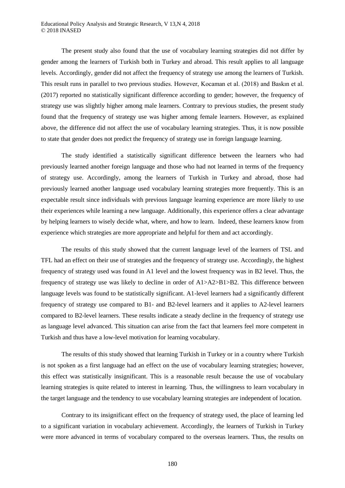The present study also found that the use of vocabulary learning strategies did not differ by gender among the learners of Turkish both in Turkey and abroad. This result applies to all language levels. Accordingly, gender did not affect the frequency of strategy use among the learners of Turkish. This result runs in parallel to two previous studies. However, Kocaman et al. (2018) and Baskın et al. (2017) reported no statistically significant difference according to gender; however, the frequency of strategy use was slightly higher among male learners. Contrary to previous studies, the present study found that the frequency of strategy use was higher among female learners. However, as explained above, the difference did not affect the use of vocabulary learning strategies. Thus, it is now possible to state that gender does not predict the frequency of strategy use in foreign language learning.

The study identified a statistically significant difference between the learners who had previously learned another foreign language and those who had not learned in terms of the frequency of strategy use. Accordingly, among the learners of Turkish in Turkey and abroad, those had previously learned another language used vocabulary learning strategies more frequently. This is an expectable result since individuals with previous language learning experience are more likely to use their experiences while learning a new language. Additionally, this experience offers a clear advantage by helping learners to wisely decide what, where, and how to learn. Indeed, these learners know from experience which strategies are more appropriate and helpful for them and act accordingly.

The results of this study showed that the current language level of the learners of TSL and TFL had an effect on their use of strategies and the frequency of strategy use. Accordingly, the highest frequency of strategy used was found in A1 level and the lowest frequency was in B2 level. Thus, the frequency of strategy use was likely to decline in order of A1>A2>B1>B2. This difference between language levels was found to be statistically significant. A1-level learners had a significantly different frequency of strategy use compared to B1- and B2-level learners and it applies to A2-level learners compared to B2-level learners. These results indicate a steady decline in the frequency of strategy use as language level advanced. This situation can arise from the fact that learners feel more competent in Turkish and thus have a low-level motivation for learning vocabulary.

The results of this study showed that learning Turkish in Turkey or in a country where Turkish is not spoken as a first language had an effect on the use of vocabulary learning strategies; however, this effect was statistically insignificant. This is a reasonable result because the use of vocabulary learning strategies is quite related to interest in learning. Thus, the willingness to learn vocabulary in the target language and the tendency to use vocabulary learning strategies are independent of location.

Contrary to its insignificant effect on the frequency of strategy used, the place of learning led to a significant variation in vocabulary achievement. Accordingly, the learners of Turkish in Turkey were more advanced in terms of vocabulary compared to the overseas learners. Thus, the results on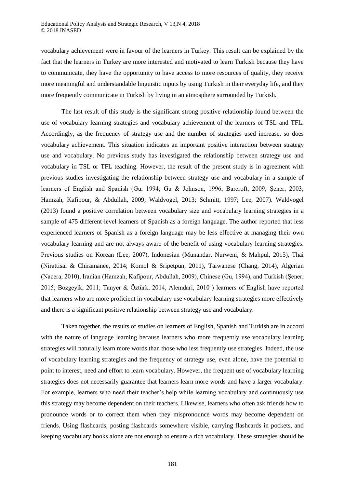vocabulary achievement were in favour of the learners in Turkey. This result can be explained by the fact that the learners in Turkey are more interested and motivated to learn Turkish because they have to communicate, they have the opportunity to have access to more resources of quality, they receive more meaningful and understandable linguistic inputs by using Turkish in their everyday life, and they more frequently communicate in Turkish by living in an atmosphere surrounded by Turkish.

The last result of this study is the significant strong positive relationship found between the use of vocabulary learning strategies and vocabulary achievement of the learners of TSL and TFL. Accordingly, as the frequency of strategy use and the number of strategies used increase, so does vocabulary achievement. This situation indicates an important positive interaction between strategy use and vocabulary. No previous study has investigated the relationship between strategy use and vocabulary in TSL or TFL teaching. However, the result of the present study is in agreement with previous studies investigating the relationship between strategy use and vocabulary in a sample of learners of English and Spanish (Gu, 1994; Gu & Johnson, 1996; Barcroft, 2009; Şener, 2003; Hamzah, Kafipour, & Abdullah, 2009; Waldvogel, 2013; Schmitt, 1997; Lee, 2007). Waldvogel (2013) found a positive correlation between vocabulary size and vocabulary learning strategies in a sample of 475 different-level learners of Spanish as a foreign language. The author reported that less experienced learners of Spanish as a foreign language may be less effective at managing their own vocabulary learning and are not always aware of the benefit of using vocabulary learning strategies. Previous studies on Korean (Lee, 2007), Indonesian (Munandar, Nurweni, & Mahpul, 2015), Thai (Nirattisai & Chiramanee, 2014; Komol & Sripetpun, 2011), Taiwanese (Chang, 2014), Algerian (Nacera, 2010), Iranian (Hamzah, Kafipour, Abdullah, 2009), Chinese (Gu, 1994), and Turkish (Şener, 2015; Bozgeyik, 2011; Tanyer & Öztürk, 2014, Alemdari, 2010 ) learners of English have reported that learners who are more proficient in vocabulary use vocabulary learning strategies more effectively and there is a significant positive relationship between strategy use and vocabulary.

Taken together, the results of studies on learners of English, Spanish and Turkish are in accord with the nature of language learning because learners who more frequently use vocabulary learning strategies will naturally learn more words than those who less frequently use strategies. Indeed, the use of vocabulary learning strategies and the frequency of strategy use, even alone, have the potential to point to interest, need and effort to learn vocabulary. However, the frequent use of vocabulary learning strategies does not necessarily guarantee that learners learn more words and have a larger vocabulary. For example, learners who need their teacher's help while learning vocabulary and continuously use this strategy may become dependent on their teachers. Likewise, learners who often ask friends how to pronounce words or to correct them when they mispronounce words may become dependent on friends. Using flashcards, posting flashcards somewhere visible, carrying flashcards in pockets, and keeping vocabulary books alone are not enough to ensure a rich vocabulary. These strategies should be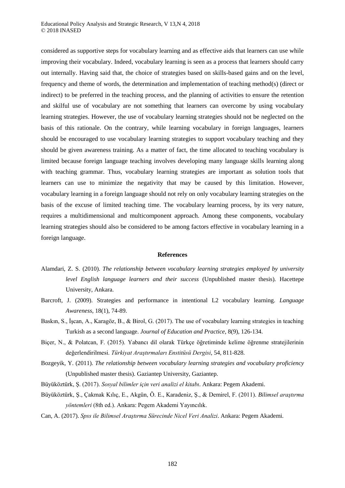considered as supportive steps for vocabulary learning and as effective aids that learners can use while improving their vocabulary. Indeed, vocabulary learning is seen as a process that learners should carry out internally. Having said that, the choice of strategies based on skills-based gains and on the level, frequency and theme of words, the determination and implementation of teaching method(s) (direct or indirect) to be preferred in the teaching process, and the planning of activities to ensure the retention and skilful use of vocabulary are not something that learners can overcome by using vocabulary learning strategies. However, the use of vocabulary learning strategies should not be neglected on the basis of this rationale. On the contrary, while learning vocabulary in foreign languages, learners should be encouraged to use vocabulary learning strategies to support vocabulary teaching and they should be given awareness training. As a matter of fact, the time allocated to teaching vocabulary is limited because foreign language teaching involves developing many language skills learning along with teaching grammar. Thus, vocabulary learning strategies are important as solution tools that learners can use to minimize the negativity that may be caused by this limitation. However, vocabulary learning in a foreign language should not rely on only vocabulary learning strategies on the basis of the excuse of limited teaching time. The vocabulary learning process, by its very nature, requires a multidimensional and multicomponent approach. Among these components, vocabulary learning strategies should also be considered to be among factors effective in vocabulary learning in a foreign language.

#### **References**

- Alamdari, Z. S. (2010). *The relationship between vocabulary learning strategies employed by university level English language learners and their success* (Unpublished master thesis). Hacettepe University, Ankara.
- Barcroft, J. (2009). Strategies and performance in intentional L2 vocabulary learning. *Language Awareness*, 18(1), 74-89.
- Baskın, S., İşcan, A., Karagöz, B., & Birol, G. (2017). The use of vocabulary learning strategies in teaching Turkish as a second language. *Journal of Education and Practice*, 8(9), 126-134.
- Biçer, N., & Polatcan, F. (2015). Yabancı dil olarak Türkçe öğretiminde kelime öğrenme stratejilerinin değerlendirilmesi. *Türkiyat Araştırmaları Enstitüsü Dergisi*, 54, 811-828.
- Bozgeyik, Y. (2011). *The relationship between vocabulary learning strategies and vocabulary proficiency* (Unpublished master thesis). Gaziantep University, Gaziantep.
- Büyüköztürk, Ş. (2017). *Sosyal bilimler için veri analizi el kitabı*. Ankara: Pegem Akademi.
- Büyüköztürk, Ş., Çakmak Kılıç, E., Akgün, Ö. E., Karadeniz, Ş., & Demirel, F. (2011). *Bilimsel araştırma yöntemleri* (8th ed.). Ankara: Pegem Akademi Yayıncılık.
- Can, A. (2017). *Spss ile Bilimsel Araştırma Sürecinde Nicel Veri Analizi*. Ankara: Pegem Akademi.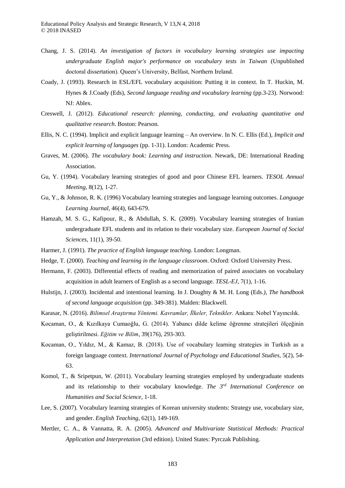- Chang, J. S. (2014). *An investigation of factors in vocabulary learning strategies use impacting undergraduate English major's performance on vocabulary tests in Taiwan* (Unpublished doctoral dissertation). Queen's University, Belfast, Northern Ireland.
- Coady, J. (1993). Research in ESL/EFL vocabulary acquisition: Putting it in context. In T. Huckin, M. Hynes & J.Coady (Eds), *Second language reading and vocabulary learning* (pp.3-23). Norwood: NJ: Ablex.
- Creswell, J. (2012). *Educational research: planning, conducting, and evaluating quantitative and qualitative research*. Boston: Pearson.
- Ellis, N. C. (1994). Implicit and explicit language learning An overview. In N. C. Ellis (Ed.), *Implicit and explicit learning of languages* (pp. 1-31). London: Academic Press.
- Graves, M. (2006). *The vocabulary book: Learning and instruction*. Newark, DE: International Reading Association.
- Gu, Y. (1994). Vocabulary learning strategies of good and poor Chinese EFL learners. *TESOL Annual Meeting*, 8(12), 1-27.
- Gu, Y., & Johnson, R. K. (1996) Vocabulary learning strategies and language learning outcomes. *Language Learning Journal*, 46(4), 643-679.
- Hamzah, M. S. G., Kafipour, R., & Abdullah, S. K. (2009). Vocabulary learning strategies of Iranian undergraduate EFL students and its relation to their vocabulary size. *European Journal of Social Sciences*, 11(1), 39-50.
- Harmer, J. (1991). *The practice of English language teaching*. London: Longman.
- Hedge, T. (2000). *Teaching and learning in the language classroom*. Oxford: Oxford University Press.
- Hermann, F. (2003). Differential effects of reading and memorization of paired associates on vocabulary acquisition in adult learners of English as a second language. *TESL-EJ*, 7(1), 1-16.
- Hulstijn, J. (2003). Incidental and intentional learning. In J. Doughty & M. H. Long (Eds*.), The handbook of second language acquisition* (pp. 349-381). Malden: Blackwell.
- Karasar, N. (2016). *Bilimsel Araştırma Yöntemi. Kavramlar, İlkeler, Teknikler*. Ankara: Nobel Yayıncılık.
- Kocaman, O., & Kızılkaya Cumaoğlu, G. (2014). Yabancı dilde kelime öğrenme stratejileri ölçeğinin geliştirilmesi. *Eğitim ve Bilim*, 39(176), 293-303.
- Kocaman, O., Yıldız, M., & Kamaz, B. (2018). Use of vocabulary learning strategies in Turkish as a foreign language context. *International Journal of Psychology and Educational Studies*, 5(2), 54- 63.
- Komol, T., & Sripetpun, W. (2011). Vocabulary learning strategies employed by undergraduate students and its relationship to their vocabulary knowledge. *The 3rd International Conference on Humanities and Social Science*, 1-18.
- Lee, S. (2007). Vocabulary learning strategies of Korean university students: Strategy use, vocabulary size, and gender. *English Teaching*, 62(1), 149-169.
- Mertler, C. A., & Vannatta, R. A. (2005). *Advanced and Multivariate Statistical Methods: Practical Application and Interpretation* (3rd edition). United States: Pyrczak Publishing.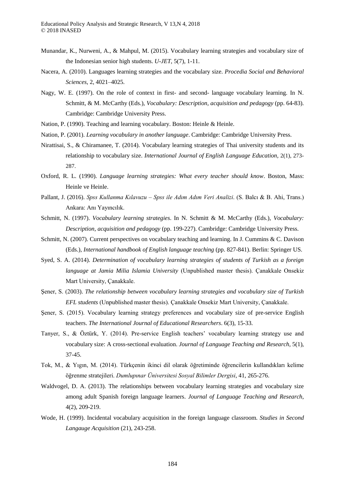- Munandar, K., Nurweni, A., & Mahpul, M. (2015). Vocabulary learning strategies and vocabulary size of the Indonesian senior high students. *U-JET*, 5(7), 1-11.
- Nacera, A. (2010). Languages learning strategies and the vocabulary size. *Procedia Social and Behavioral Sciences*, 2, 4021–4025.
- Nagy, W. E. (1997). On the role of context in first- and second- language vocabulary learning. In N. Schmitt, & M. McCarthy (Eds.), *Vocabulary: Description, acquisition and pedagogy* (pp. 64-83). Cambridge: Cambridge University Press.
- Nation, P. (1990). Teaching and learning vocabulary. Boston: Heinle & Heinle.
- Nation, P. (2001). *Learning vocabulary in another language*. Cambridge: Cambridge University Press.
- Nirattisai, S., & Chiramanee, T. (2014). Vocabulary learning strategies of Thai university students and its relationship to vocabulary size. *International Journal of English Language Education,* 2(1), 273- 287.
- Oxford, R. L. (1990). *Language learning strategies: What every teacher should know*. Boston, Mass: Heinle ve Heinle.
- Pallant, J. (2016). *Spss Kullanma Kılavuzu – Spss ile Adım Adım Veri Analizi*. (S. Balcı & B. Ahi, Trans.) Ankara: Anı Yayıncılık.
- Schmitt, N. (1997). *Vocabulary learning strategies*. In N. Schmitt & M. McCarthy (Eds.), *Vocabulary: Description, acquisition and pedagogy* (pp. 199-227). Cambridge: Cambridge University Press.
- Schmitt, N. (2007). Current perspectives on vocabulary teaching and learning. In J. Cummins & C. Davison (Eds.), *International handbook of English language teaching* (pp. 827-841). Berlin: Springer US.
- Syed, S. A. (2014). *Determination of vocabulary learning strategies of students of Turkish as a foreign language at Jamia Milia Islamia University* (Unpublished master thesis). Çanakkale Onsekiz Mart University, Çanakkale.
- Şener, S. (2003). *The relationship between vocabulary learning strategies and vocabulary size of Turkish EFL students* (Unpublished master thesis). Çanakkale Onsekiz Mart University, Çanakkale.
- Şener, S. (2015). Vocabulary learning strategy preferences and vocabulary size of pre-service English teachers. *The International Journal of Educational Researchers*. 6(3), 15-33.
- Tanyer, S., & Öztürk, Y. (2014). Pre-service English teachers' vocabulary learning strategy use and vocabulary size: A cross-sectional evaluation. *Journal of Language Teaching and Research*, 5(1), 37-45.
- Tok, M., & Yıgın, M. (2014). Türkçenin ikinci dil olarak öğretiminde öğrencilerin kullandıkları kelime öğrenme stratejileri. *Dumlupınar Üniversitesi Sosyal Bilimler Dergisi*, 41, 265-276.
- Waldvogel, D. A. (2013). The relationships between vocabulary learning strategies and vocabulary size among adult Spanish foreign language learners. *Journal of Language Teaching and Research*, 4(2), 209-219.
- Wode, H. (1999). Incidental vocabulary acquisition in the foreign language classroom. *Studies in Second Langauge Acquisition* (21), 243-258.